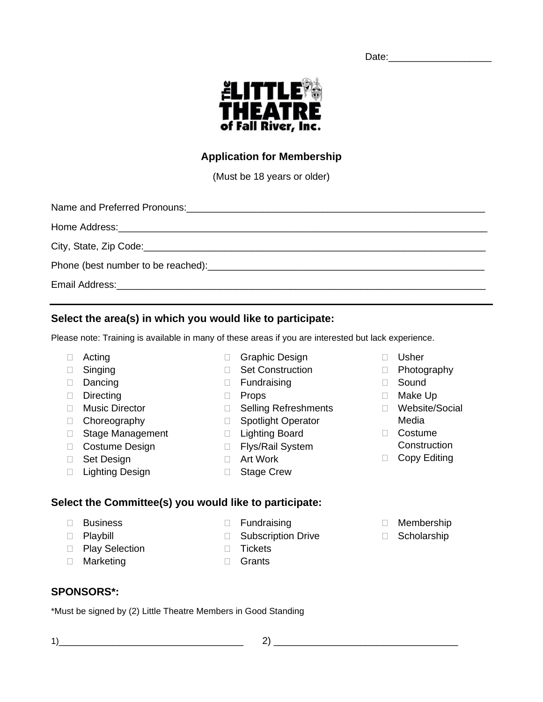Date:\_\_\_\_\_\_\_\_\_\_\_\_\_\_\_\_\_\_\_

Fall River, Inc. **Application for Membership**

**ELITTLE®** 

ЧЕА1

(Must be 18 years or older)

| Phone (best number to be reached): example and a series of the series of the series of the series of the series of the series of the series of the series of the series of the series of the series of the series of the serie |  |  |  |
|--------------------------------------------------------------------------------------------------------------------------------------------------------------------------------------------------------------------------------|--|--|--|
|                                                                                                                                                                                                                                |  |  |  |

## **Select the area(s) in which you would like to participate:**

Please note: Training is available in many of these areas if you are interested but lack experience.

- Acting
- □ Singing
- Dancing
- Directing
- □ Music Director
- Choreography
- □ Stage Management
- □ Costume Design
- □ Set Design
- □ Lighting Design
- □ Graphic Design □ Set Construction
- □ Fundraising
- 
- D Props
- □ Selling Refreshments
- □ Spotlight Operator
- 
- 
- □ Art Work
- □ Stage Crew

## **Select the Committee(s) you would like to participate:**

- □ Business
- D Playbill
- D Play Selection
- □ Marketing
- 
- 
- 

## **SPONSORS\*:**

\*Must be signed by (2) Little Theatre Members in Good Standing

- Usher D Photography
- Sound
- Make Up
- Website/Social Media
- Costume
- **Construction**
- □ Copy Editing
- Membership
- □ Scholarship
- - **Fundraising** □ Subscription Drive
	- D Tickets
		- Grants
- □ Lighting Board □ Flys/Rail System
	-
	-

 $1)$   $2)$   $2)$